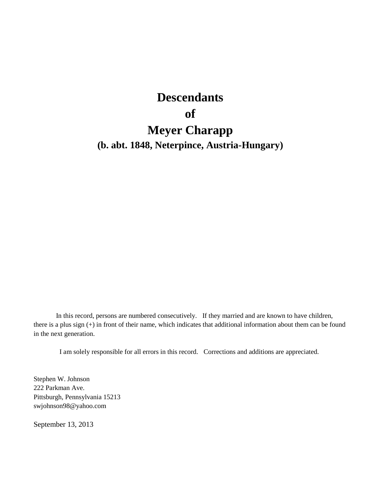# **Descendants of Meyer Charapp (b. abt. 1848, Neterpince, Austria-Hungary)**

In this record, persons are numbered consecutively. If they married and are known to have children, there is a plus sign (+) in front of their name, which indicates that additional information about them can be found in the next generation.

I am solely responsible for all errors in this record. Corrections and additions are appreciated.

Stephen W. Johnson 222 Parkman Ave. Pittsburgh, Pennsylvania 15213 swjohnson98@yahoo.com

September 13, 2013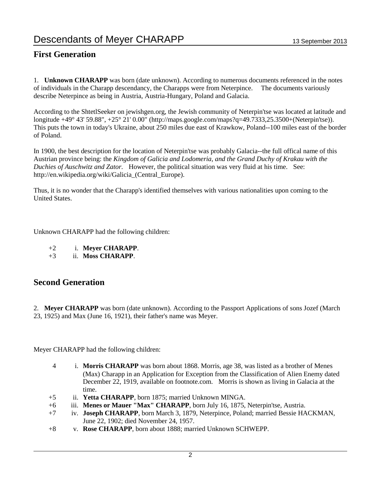### **First Generation**

1. **Unknown CHARAPP** was born (date unknown). According to numerous documents referenced in the notes of individuals in the Charapp descendancy, the Charapps were from Neterpince. The documents variously describe Neterpince as being in Austria, Austria-Hungary, Poland and Galacia.

According to the ShtetlSeeker on jewishgen.org, the Jewish community of Neterpin'tse was located at latitude and longitude +49° 43' 59.88", +25° 21' 0.00" (http://maps.google.com/maps?q=49.7333,25.3500+(Neterpin'tse)). This puts the town in today's Ukraine, about 250 miles due east of Krawkow, Poland--100 miles east of the border of Poland.

In 1900, the best description for the location of Neterpin'tse was probably Galacia--the full offical name of this Austrian province being: the *Kingdom of Galicia and Lodomeria, and the Grand Duchy of Krakau with the Duchies of Auschwitz and Zator.* However, the political situation was very fluid at his time. See: http://en.wikipedia.org/wiki/Galicia\_(Central\_Europe).

Thus, it is no wonder that the Charapp's identified themselves with various nationalities upon coming to the United States.

Unknown CHARAPP had the following children:

- +2 i. **Meyer CHARAPP**.
- +3 ii. **Moss CHARAPP**.

### **Second Generation**

2. **Meyer CHARAPP** was born (date unknown). According to the Passport Applications of sons Jozef (March 23, 1925) and Max (June 16, 1921), their father's name was Meyer.

Meyer CHARAPP had the following children:

- 4 i. **Morris CHARAPP** was born about 1868. Morris, age 38, was listed as a brother of Menes (Max) Charapp in an Application for Exception from the Classification of Alien Enemy dated December 22, 1919, available on footnote.com. Morris is shown as living in Galacia at the time.
- +5 ii. **Yetta CHARAPP**, born 1875; married Unknown MINGA.
- +6 iii. **Menes or Mauer "Max" CHARAPP**, born July 16, 1875, Neterpin'tse, Austria.
- +7 iv. **Joseph CHARAPP**, born March 3, 1879, Neterpince, Poland; married Bessie HACKMAN, June 22, 1902; died November 24, 1957.
- +8 v. **Rose CHARAPP**, born about 1888; married Unknown SCHWEPP.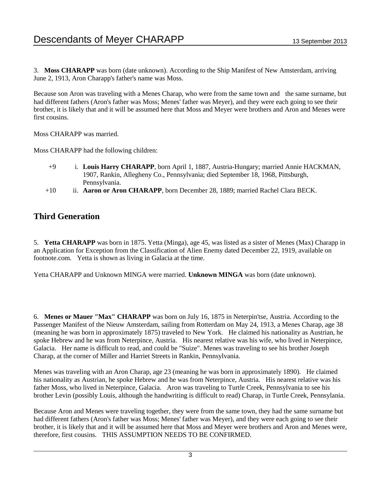3. **Moss CHARAPP** was born (date unknown). According to the Ship Manifest of New Amsterdam, arriving June 2, 1913, Aron Charapp's father's name was Moss.

Because son Aron was traveling with a Menes Charap, who were from the same town and the same surname, but had different fathers (Aron's father was Moss; Menes' father was Meyer), and they were each going to see their brother, it is likely that and it will be assumed here that Moss and Meyer were brothers and Aron and Menes were first cousins.

Moss CHARAPP was married.

Moss CHARAPP had the following children:

- +9 i. **Louis Harry CHARAPP**, born April 1, 1887, Austria-Hungary; married Annie HACKMAN, 1907, Rankin, Allegheny Co., Pennsylvania; died September 18, 1968, Pittsburgh, Pennsylvania.
- +10 ii. **Aaron or Aron CHARAPP**, born December 28, 1889; married Rachel Clara BECK.

### **Third Generation**

5. **Yetta CHARAPP** was born in 1875. Yetta (Minga), age 45, was listed as a sister of Menes (Max) Charapp in an Application for Exception from the Classification of Alien Enemy dated December 22, 1919, available on footnote.com. Yetta is shown as living in Galacia at the time.

Yetta CHARAPP and Unknown MINGA were married. **Unknown MINGA** was born (date unknown).

6. **Menes or Mauer "Max" CHARAPP** was born on July 16, 1875 in Neterpin'tse, Austria. According to the Passenger Manifest of the Nieuw Amsterdam, sailing from Rotterdam on May 24, 1913, a Menes Charap, age 38 (meaning he was born in approximately 1875) traveled to New York. He claimed his nationality as Austrian, he spoke Hebrew and he was from Neterpince, Austria. His nearest relative was his wife, who lived in Neterpince, Galacia. Her name is difficult to read, and could be "Suize". Menes was traveling to see his brother Joseph Charap, at the corner of Miller and Harriet Streets in Rankin, Pennsylvania.

Menes was traveling with an Aron Charap, age 23 (meaning he was born in approximately 1890). He claimed his nationality as Austrian, he spoke Hebrew and he was from Neterpince, Austria. His nearest relative was his father Moss, who lived in Neterpince, Galacia. Aron was traveling to Turtle Creek, Pennsylvania to see his brother Levin (possibly Louis, although the handwriting is difficult to read) Charap, in Turtle Creek, Pennsylania.

Because Aron and Menes were traveling together, they were from the same town, they had the same surname but had different fathers (Aron's father was Moss; Menes' father was Meyer), and they were each going to see their brother, it is likely that and it will be assumed here that Moss and Meyer were brothers and Aron and Menes were, therefore, first cousins. THIS ASSUMPTION NEEDS TO BE CONFIRMED.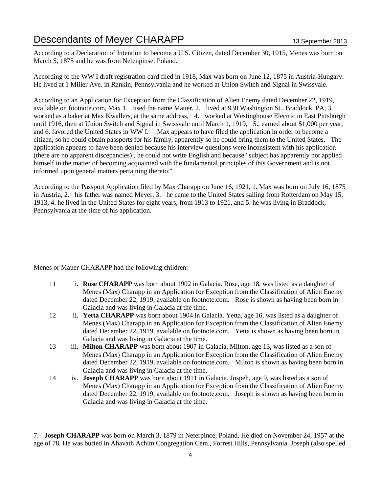According to a Declaration of Intention to become a U.S. Citizen, dated December 30, 1915, Menes was born on March 5, 1875 and he was from Netenpinse, Poland.

According to the WW I draft registration card filed in 1918, Max was born on June 12, 1875 in Austria-Hungary. He lived at 1 Miller Ave. in Rankin, Pennsylvania and he worked at Union Switch and Signal in Swissvale.

According to an Application for Exception from the Classification of Alien Enemy dated December 22, 1919, available on footnote.com, Max 1. used the name Mauer, 2. lived at 930 Washington St., Braddock, PA, 3. worked as a baker at Max Kwallers, at the same address, 4. worked at Westinghouse Electric in East Pittsburgh until 1916, then at Union Switch and Signal in Swissvale until March 1, 1919, 5., earned about \$1,000 per year, and 6. favored the United States in WW I. Max appears to have filed the application in order to become a citizen, so he could obtain passports for his family, apparently so he could bring them to the United States. The application appears to have been denied because his interview questions were inconsistent with his application (there are no apparent discepancies) , he could not write English and because "subject has apparently not applied himself in the matter of becoming acquainted with the fundamental principles of this Government and is not informed upon general matters pertaining thereto."

According to the Passport Application filed by Max Charapp on June 16, 1921, 1. Max was born on July 16, 1875 in Austria, 2. his father was named Meyer, 3. he came to the United States sailing from Rotterdam on May 15, 1913, 4. he lived in the United States for eight years, from 1913 to 1921, and 5. he was living in Braddock, Pennsylvania at the time of his application.

Menes or Mauer CHARAPP had the following children:

- 11 i. **Rose CHARAPP** was born about 1902 in Galacia. Rose, age 18, was listed as a daughter of Menes (Max) Charapp in an Application for Exception from the Classification of Alien Enemy dated December 22, 1919, available on footnote.com. Rose is shown as having been born in Galacia and was living in Galacia at the time.
- 12 ii. **Yetta CHARAPP** was born about 1904 in Galacia. Yetta, age 16, was listed as a daughter of Menes (Max) Charapp in an Application for Exception from the Classification of Alien Enemy dated December 22, 1919, available on footnote.com. Yetta is shown as having been born in Galacia and was living in Galacia at the time.
- 13 iii. **Milton CHARAPP** was born about 1907 in Galacia. Milton, age 13, was listed as a son of Menes (Max) Charapp in an Application for Exception from the Classification of Alien Enemy dated December 22, 1919, available on footnote.com. Milton is shown as having been born in Galacia and was living in Galacia at the time.
- 14 iv. **Joseph CHARAPP** was born about 1911 in Galacia. Jospeh, age 9, was listed as a son of Menes (Max) Charapp in an Application for Exception from the Classification of Alien Enemy dated December 22, 1919, available on footnote.com. Joseph is shown as having been born in Galacia and was living in Galacia at the time.

7. **Joseph CHARAPP** was born on March 3, 1879 in Neterpince, Poland. He died on November 24, 1957 at the age of 78. He was buried in Ahavath Achim Congregation Cem., Forrest Hills, Pennsylvania. Joseph (also spelled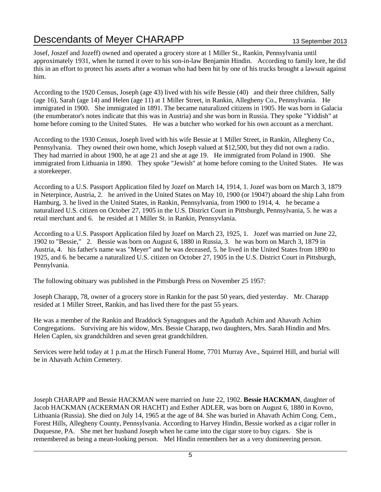Josef, Joszef and Jozeff) owned and operated a grocery store at 1 Miller St., Rankin, Pennsylvania until approximately 1931, when he turned it over to his son-in-law Benjamin Hindin. According to family lore, he did this in an effort to protect his assets after a woman who had been hit by one of his trucks brought a lawsuit against him.

According to the 1920 Census, Joseph (age 43) lived with his wife Bessie (40) and their three children, Sally (age 16), Sarah (age 14) and Helen (age 11) at 1 Miller Street, in Rankin, Allegheny Co., Pennsylvania. He immigrated in 1900. She immigrated in 1891. The became naturalized citizens in 1905. He was born in Galacia (the enumberator's notes indicate that this was in Austria) and she was born in Russia. They spoke "Yiddish" at home before coming to the United States. He was a butcher who worked for his own account as a merchant.

According to the 1930 Census, Joseph lived with his wife Bessie at 1 Miller Street, in Rankin, Allegheny Co., Pennsylvania. They owned their own home, which Joseph valued at \$12,500, but they did not own a radio. They had married in about 1900, he at age 21 and she at age 19. He immigrated from Poland in 1900. She immigrated from Lithuania in 1890. They spoke "Jewish" at home before coming to the United States. He was a storekeeper.

According to a U.S. Passport Application filed by Jozef on March 14, 1914, 1. Jozef was born on March 3, 1879 in Neterpince, Austria, 2. he arrived in the United States on May 10, 1900 (or 1904?) aboard the ship Lahn from Hamburg, 3. he lived in the United States, in Rankin, Pennsylvania, from 1900 to 1914, 4. he became a naturalized U.S. citizen on October 27, 1905 in the U.S. District Court in Pittsburgh, Pennsylvania, 5. he was a retail merchant and 6. he resided at 1 Miller St. in Rankin, Pennsyvlania.

According to a U.S. Passport Application filed by Jozef on March 23, 1925, 1. Jozef was married on June 22, 1902 to "Bessie," 2. Bessie was born on August 6, 1880 in Russia, 3. he was born on March 3, 1879 in Austria, 4. his father's name was "Meyer" and he was deceased, 5. he lived in the United States from 1890 to 1925, and 6. he became a naturalized U.S. citizen on October 27, 1905 in the U.S. District Court in Pittsburgh, Pennylvania.

The following obituary was published in the Pittsburgh Press on November 25 1957:

Joseph Charapp, 78, owner of a grocery store in Rankin for the past 50 years, died yesterday. Mr. Charapp resided at 1 Miller Street, Rankin, and has lived there for the past 55 years.

He was a member of the Rankin and Braddock Synagogues and the Aguduth Achim and Ahavath Achim Congregations. Surviving are his widow, Mrs. Bessie Charapp, two daughters, Mrs. Sarah Hindin and Mrs. Helen Caplen, six grandchildren and seven great grandchildren.

Services were held today at 1 p.m.at the Hirsch Funeral Home, 7701 Murray Ave., Squirrel Hill, and burial will be in Ahavath Achim Cemetery.

Joseph CHARAPP and Bessie HACKMAN were married on June 22, 1902. **Bessie HACKMAN**, daughter of Jacob HACKMAN (ACKERMAN OR HACHT) and Esther ADLER, was born on August 6, 1880 in Kovno, Lithuania (Russia). She died on July 14, 1965 at the age of 84. She was buried in Ahavath Achim Cong. Cem., Forest Hills, Allegheny County, Pennsylvania. According to Harvey Hindin, Bessie worked as a cigar roller in Duquesne, PA. She met her husband Joseph when he came into the cigar store to buy cigars. She is remembered as being a mean-looking person. Mel Hindin remembers her as a very domineering person.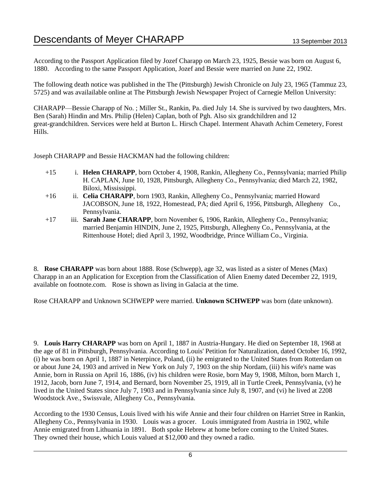According to the Passport Application filed by Jozef Charapp on March 23, 1925, Bessie was born on August 6, 1880. According to the same Passport Application, Jozef and Bessie were married on June 22, 1902.

The following death notice was published in the The (Pittsburgh) Jewish Chronicle on July 23, 1965 (Tammuz 23, 5725) and was availailable online at The Pittsburgh Jewish Newspaper Project of Carnegie Mellon University:

CHARAPP—Bessie Charapp of No. ; Miller St., Rankin, Pa. died July 14. She is survived by two daughters, Mrs. Ben (Sarah) Hindin and Mrs. Philip (Helen) Caplan, both of Pgh. Also six grandchildren and 12 great-grandchildren. Services were held at Burton L. Hirsch Chapel. Interment Ahavath Achim Cemetery, Forest Hills.

Joseph CHARAPP and Bessie HACKMAN had the following children:

- +15 i. **Helen CHARAPP**, born October 4, 1908, Rankin, Allegheny Co., Pennsylvania; married Philip H. CAPLAN, June 10, 1928, Pittsburgh, Allegheny Co., Pennsylvania; died March 22, 1982, Biloxi, Mississippi.
- +16 ii. **Celia CHARAPP**, born 1903, Rankin, Allegheny Co., Pennsylvania; married Howard JACOBSON, June 18, 1922, Homestead, PA; died April 6, 1956, Pittsburgh, Allegheny Co., Pennsylvania.
- +17 iii. **Sarah Jane CHARAPP**, born November 6, 1906, Rankin, Allegheny Co., Pennsylvania; married Benjamin HINDIN, June 2, 1925, Pittsburgh, Allegheny Co., Pennsylvania, at the Rittenhouse Hotel; died April 3, 1992, Woodbridge, Prince William Co., Virginia.

8. **Rose CHARAPP** was born about 1888. Rose (Schwepp), age 32, was listed as a sister of Menes (Max) Charapp in an an Application for Exception from the Classification of Alien Enemy dated December 22, 1919, available on footnote.com. Rose is shown as living in Galacia at the time.

Rose CHARAPP and Unknown SCHWEPP were married. **Unknown SCHWEPP** was born (date unknown).

9. **Louis Harry CHARAPP** was born on April 1, 1887 in Austria-Hungary. He died on September 18, 1968 at the age of 81 in Pittsburgh, Pennsylvania. According to Louis' Petition for Naturalization, dated October 16, 1992, (i) he was born on April 1, 1887 in Neterpince, Poland, (ii) he emigrated to the United States from Rotterdam on or about June 24, 1903 and arrived in New York on July 7, 1903 on the ship Nordam, (iii) his wife's name was Annie, born in Russia on April 16, 1886, (iv) his children were Rosie, born May 9, 1908, Milton, born March 1, 1912, Jacob, born June 7, 1914, and Bernard, born November 25, 1919, all in Turtle Creek, Pennsylvania, (v) he lived in the United States since July 7, 1903 and in Pennsylvania since July 8, 1907, and (vi) he lived at 2208 Woodstock Ave., Swissvale, Allegheny Co., Pennsylvania.

According to the 1930 Census, Louis lived with his wife Annie and their four children on Harriet Stree in Rankin, Allegheny Co., Pennsylvania in 1930. Louis was a grocer. Louis immigrated from Austria in 1902, while Annie emigrated from Lithuania in 1891. Both spoke Hebrew at home before coming to the United States. They owned their house, which Louis valued at \$12,000 and they owned a radio.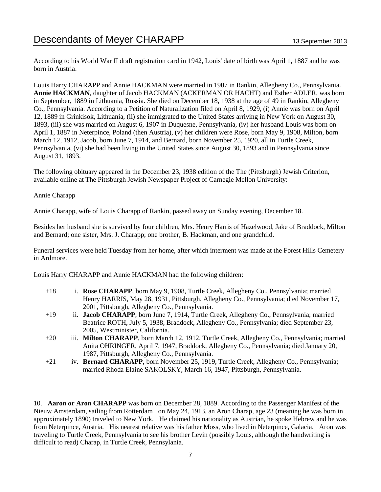According to his World War II draft registration card in 1942, Louis' date of birth was April 1, 1887 and he was born in Austria.

Louis Harry CHARAPP and Annie HACKMAN were married in 1907 in Rankin, Allegheny Co., Pennsylvania. **Annie HACKMAN**, daughter of Jacob HACKMAN (ACKERMAN OR HACHT) and Esther ADLER, was born in September, 1889 in Lithuania, Russia. She died on December 18, 1938 at the age of 49 in Rankin, Allegheny Co., Pennsylvania. According to a Petition of Naturalization filed on April 8, 1929, (i) Annie was born on April 12, 1889 in Grinkisok, Lithuania, (ii) she immigrated to the United States arriving in New York on August 30, 1893, (iii) she was married on August 6, 1907 in Duquesne, Pennsylvania, (iv) her husband Louis was born on April 1, 1887 in Neterpince, Poland (then Austria), (v) her children were Rose, born May 9, 1908, Milton, born March 12, 1912, Jacob, born June 7, 1914, and Bernard, born November 25, 1920, all in Turtle Creek, Pennsylvania, (vi) she had been living in the United States since August 30, 1893 and in Pennsylvania since August 31, 1893.

The following obituary appeared in the December 23, 1938 edition of the The (Pittsburgh) Jewish Criterion, available online at The Pittsburgh Jewish Newspaper Project of Carnegie Mellon University:

### Annie Charapp

Annie Charapp, wife of Louis Charapp of Rankin, passed away on Sunday evening, December 18.

Besides her husband she is survived by four children, Mrs. Henry Harris of Hazelwood, Jake of Braddock, Milton and Bernard; one sister, Mrs. J. Charapp; one brother, B. Hackman, and one grandchild.

Funeral services were held Tuesday from her home, after which interment was made at the Forest Hills Cemetery in Ardmore.

Louis Harry CHARAPP and Annie HACKMAN had the following children:

- +18 i. **Rose CHARAPP**, born May 9, 1908, Turtle Creek, Allegheny Co., Pennsylvania; married Henry HARRIS, May 28, 1931, Pittsburgh, Allegheny Co., Pennsylvania; died November 17, 2001, Pittsburgh, Allegheny Co., Pennsylvania.
- +19 ii. **Jacob CHARAPP**, born June 7, 1914, Turtle Creek, Allegheny Co., Pennsylvania; married Beatrice ROTH, July 5, 1938, Braddock, Allegheny Co., Pennsylvania; died September 23, 2005, Westminister, California.
- +20 iii. **Milton CHARAPP**, born March 12, 1912, Turtle Creek, Allegheny Co., Pennsylvania; married Anita OHRINGER, April 7, 1947, Braddock, Allegheny Co., Pennsylvania; died January 20, 1987, Pittsburgh, Allegheny Co., Pennsylvania.
- +21 iv. **Bernard CHARAPP**, born November 25, 1919, Turtle Creek, Allegheny Co., Pennsylvania; married Rhoda Elaine SAKOLSKY, March 16, 1947, Pittsburgh, Pennsylvania.

10. **Aaron or Aron CHARAPP** was born on December 28, 1889. According to the Passenger Manifest of the Nieuw Amsterdam, sailing from Rotterdam on May 24, 1913, an Aron Charap, age 23 (meaning he was born in approximately 1890) traveled to New York. He claimed his nationality as Austrian, he spoke Hebrew and he was from Neterpince, Austria. His nearest relative was his father Moss, who lived in Neterpince, Galacia. Aron was traveling to Turtle Creek, Pennsylvania to see his brother Levin (possibly Louis, although the handwriting is difficult to read) Charap, in Turtle Creek, Pennsylania.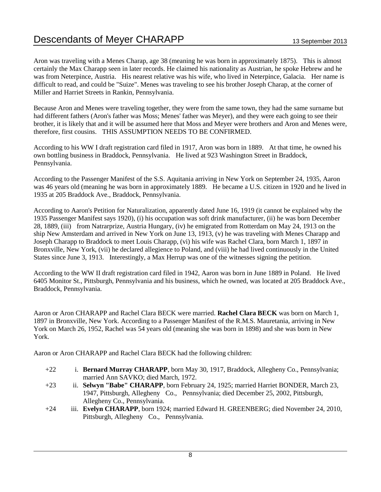Aron was traveling with a Menes Charap, age 38 (meaning he was born in approximately 1875). This is almost certainly the Max Charapp seen in later records. He claimed his nationality as Austrian, he spoke Hebrew and he was from Neterpince, Austria. His nearest relative was his wife, who lived in Neterpince, Galacia. Her name is difficult to read, and could be "Suize". Menes was traveling to see his brother Joseph Charap, at the corner of Miller and Harriet Streets in Rankin, Pennsylvania.

Because Aron and Menes were traveling together, they were from the same town, they had the same surname but had different fathers (Aron's father was Moss; Menes' father was Meyer), and they were each going to see their brother, it is likely that and it will be assumed here that Moss and Meyer were brothers and Aron and Menes were, therefore, first cousins. THIS ASSUMPTION NEEDS TO BE CONFIRMED.

According to his WW I draft registration card filed in 1917, Aron was born in 1889. At that time, he owned his own bottling business in Braddock, Pennsylvania. He lived at 923 Washington Street in Braddock, Pennsylvania.

According to the Passenger Manifest of the S.S. Aquitania arriving in New York on September 24, 1935, Aaron was 46 years old (meaning he was born in approximately 1889. He became a U.S. citizen in 1920 and he lived in 1935 at 205 Braddock Ave., Braddock, Pennsylvania.

According to Aaron's Petition for Naturalization, apparently dated June 16, 1919 (it cannot be explained why the 1935 Passenger Manifest says 1920), (i) his occupation was soft drink manufacturer, (ii) he was born December 28, 1889, (iii) from Natrarprize, Austria Hungary, (iv) he emigrated from Rotterdam on May 24, 1913 on the ship New Amsterdam and arrived in New York on June 13, 1913, (v) he was traveling with Menes Charapp and Joseph Charapp to Braddock to meet Louis Charapp, (vi) his wife was Rachel Clara, born March 1, 1897 in Bronxville, New York, (vii) he declared allegience to Poland, and (viii) he had lived continuously in the United States since June 3, 1913. Interestingly, a Max Herrup was one of the witnesses signing the petition.

According to the WW II draft registration card filed in 1942, Aaron was born in June 1889 in Poland. He lived 6405 Monitor St., Pittsburgh, Pennsylvania and his business, which he owned, was located at 205 Braddock Ave., Braddock, Pennsylvania.

Aaron or Aron CHARAPP and Rachel Clara BECK were married. **Rachel Clara BECK** was born on March 1, 1897 in Bronxville, New York. According to a Passenger Manifest of the R.M.S. Mauretania, arriving in New York on March 26, 1952, Rachel was 54 years old (meaning she was born in 1898) and she was born in New York.

Aaron or Aron CHARAPP and Rachel Clara BECK had the following children:

- +22 i. **Bernard Murray CHARAPP**, born May 30, 1917, Braddock, Allegheny Co., Pennsylvania; married Ann SAVKO; died March, 1972.
- +23 ii. **Selwyn "Babe" CHARAPP**, born February 24, 1925; married Harriet BONDER, March 23, 1947, Pittsburgh, Allegheny Co., Pennsylvania; died December 25, 2002, Pittsburgh, Allegheny Co., Pennsylvania.
- +24 iii. **Evelyn CHARAPP**, born 1924; married Edward H. GREENBERG; died November 24, 2010, Pittsburgh, Allegheny Co., Pennsylvania.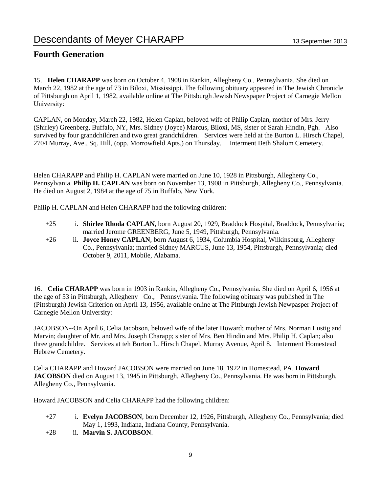### **Fourth Generation**

15. **Helen CHARAPP** was born on October 4, 1908 in Rankin, Allegheny Co., Pennsylvania. She died on March 22, 1982 at the age of 73 in Biloxi, Mississippi. The following obituary appeared in The Jewish Chronicle of Pittsburgh on April 1, 1982, available online at The Pittsburgh Jewish Newspaper Project of Carnegie Mellon University:

CAPLAN, on Monday, March 22, 1982, Helen Caplan, beloved wife of Philip Caplan, mother of Mrs. Jerry (Shirley) Greenberg, Buffalo, NY, Mrs. Sidney (Joyce) Marcus, Biloxi, MS, sister of Sarah Hindin, Pgh. Also survived by four grandchildren and two great grandchildren. Services were held at the Burton L. Hirsch Chapel, 2704 Murray, Ave., Sq. Hill, (opp. Morrowfield Apts.) on Thursday. Interment Beth Shalom Cemetery.

Helen CHARAPP and Philip H. CAPLAN were married on June 10, 1928 in Pittsburgh, Allegheny Co., Pennsylvania. **Philip H. CAPLAN** was born on November 13, 1908 in Pittsburgh, Allegheny Co., Pennsylvania. He died on August 2, 1984 at the age of 75 in Buffalo, New York.

Philip H. CAPLAN and Helen CHARAPP had the following children:

- +25 i. **Shirlee Rhoda CAPLAN**, born August 20, 1929, Braddock Hospital, Braddock, Pennsylvania; married Jerome GREENBERG, June 5, 1949, Pittsburgh, Pennsylvania.
- +26 ii. **Joyce Honey CAPLAN**, born August 6, 1934, Columbia Hospital, Wilkinsburg, Allegheny Co., Pennsylvania; married Sidney MARCUS, June 13, 1954, Pittsburgh, Pennsylvania; died October 9, 2011, Mobile, Alabama.

16. **Celia CHARAPP** was born in 1903 in Rankin, Allegheny Co., Pennsylvania. She died on April 6, 1956 at the age of 53 in Pittsburgh, Allegheny Co., Pennsylvania. The following obituary was published in The (Pittsburgh) Jewish Criterion on April 13, 1956, available online at The Pittburgh Jewish Newpasper Project of Carnegie Mellon University:

JACOBSON--On April 6, Celia Jacobson, beloved wife of the later Howard; mother of Mrs. Norman Lustig and Marvin; daughter of Mr. and Mrs. Joseph Charapp; sister of Mrs. Ben Hindin and Mrs. Philip H. Caplan; also three grandchildre. Services at teh Burton L. Hirsch Chapel, Murray Avenue, April 8. Interment Homestead Hebrew Cemetery.

Celia CHARAPP and Howard JACOBSON were married on June 18, 1922 in Homestead, PA. **Howard JACOBSON** died on August 13, 1945 in Pittsburgh, Allegheny Co., Pennsylvania. He was born in Pittsburgh, Allegheny Co., Pennsylvania.

Howard JACOBSON and Celia CHARAPP had the following children:

- +27 i. **Evelyn JACOBSON**, born December 12, 1926, Pittsburgh, Allegheny Co., Pennsylvania; died May 1, 1993, Indiana, Indiana County, Pennsylvania.
- +28 ii. **Marvin S. JACOBSON**.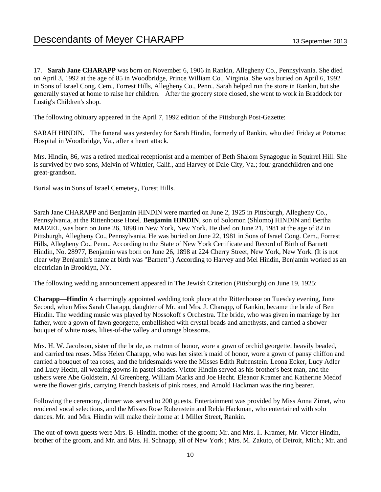17. **Sarah Jane CHARAPP** was born on November 6, 1906 in Rankin, Allegheny Co., Pennsylvania. She died on April 3, 1992 at the age of 85 in Woodbridge, Prince William Co., Virginia. She was buried on April 6, 1992 in Sons of Israel Cong. Cem., Forrest Hills, Allegheny Co., Penn.. Sarah helped run the store in Rankin, but she generally stayed at home to raise her children. After the grocery store closed, she went to work in Braddock for Lustig's Children's shop.

The following obituary appeared in the April 7, 1992 edition of the Pittsburgh Post-Gazette:

SARAH HINDIN**.** The funeral was yesterday for Sarah Hindin, formerly of Rankin, who died Friday at Potomac Hospital in Woodbridge, Va., after a heart attack.

Mrs. Hindin, 86, was a retired medical receptionist and a member of Beth Shalom Synagogue in Squirrel Hill. She is survived by two sons, Melvin of Whittier, Calif., and Harvey of Dale City, Va.; four grandchildren and one great-grandson.

Burial was in Sons of Israel Cemetery, Forest Hills.

Sarah Jane CHARAPP and Benjamin HINDIN were married on June 2, 1925 in Pittsburgh, Allegheny Co., Pennsylvania, at the Rittenhouse Hotel. **Benjamin HINDIN**, son of Solomon (Shlomo) HINDIN and Bertha MAIZEL, was born on June 26, 1898 in New York, New York. He died on June 21, 1981 at the age of 82 in Pittsburgh, Allegheny Co., Pennsylvania. He was buried on June 22, 1981 in Sons of Israel Cong. Cem., Forrest Hills, Allegheny Co., Penn.. According to the State of New York Certificate and Record of Birth of Barnett Hindin, No. 28977, Benjamin was born on June 26, 1898 at 224 Cherry Street, New York, New York. (It is not clear why Benjamin's name at birth was "Barnett".) According to Harvey and Mel Hindin, Benjamin worked as an electrician in Brooklyn, NY.

The following wedding announcement appeared in The Jewish Criterion (Pittsburgh) on June 19, 1925:

**Charapp—Hindin** A charmingly appointed wedding took place at the Rittenhouse on Tuesday evening, June Second, when Miss Sarah Charapp, daughter of Mr. and Mrs. J. Charapp, of Rankin, became the bride of Ben Hindin. The wedding music was played by Nossokoff s Orchestra. The bride, who was given in marriage by her father, wore a gown of fawn georgette, embellished with crystal beads and amethysts, and carried a shower bouquet of white roses, lilies-of-the valley and orange blossoms.

Mrs. H. W. Jacobson, sister of the bride, as matron of honor, wore a gown of orchid georgette, heavily beaded, and carried tea roses. Miss Helen Charapp, who was her sister's maid of honor, wore a gown of pansy chiffon and carried a bouquet of tea roses, and the bridesmaids were the Misses Edith Rubenstein. Leona Ecker, Lucy Adler and Lucy Hecht, all wearing gowns in pastel shades. Victor Hindin served as his brother's best man, and the ushers were Abe Goldstein, Al Greenberg, William Marks and Joe Hecht. Eleanor Kramer and Katherine Medof were the flower girls, carrying French baskets of pink roses, and Arnold Hackman was the ring bearer.

Following the ceremony, dinner was served to 200 guests. Entertainment was provided by Miss Anna Zimet, who rendered vocal selections, and the Misses Rose Rubenstein and Relda Hackman, who entertained with solo dances. Mr. and Mrs. Hindin will make their home at 1 Miller Street, Rankin.

The out-of-town guests were Mrs. B. Hindin. mother of the groom; Mr. and Mrs. I.. Kramer, Mr. Victor Hindin, brother of the groom, and Mr. and Mrs. H. Schnapp, all of New York ; Mrs. M. Zakuto, of Detroit, Mich.; Mr. and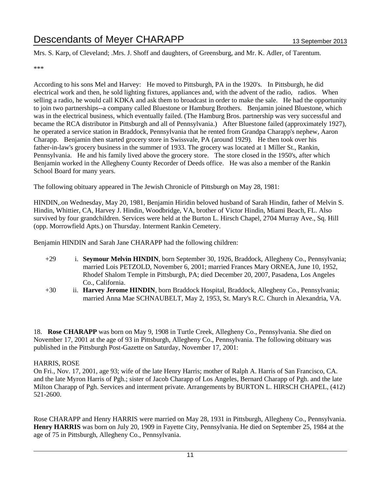Mrs. S. Karp, of Cleveland; .Mrs. J. Shoff and daughters, of Greensburg, and Mr. K. Adler, of Tarentum.

\*\*\*

According to his sons Mel and Harvey: He moved to Pittsburgh, PA in the 1920's. In Pittsburgh, he did electrical work and then, he sold lighting fixtures, appliances and, with the advent of the radio, radios. When selling a radio, he would call KDKA and ask them to broadcast in order to make the sale. He had the opportunity to join two partnerships--a company called Bluestone or Hamburg Brothers. Benjamin joined Bluestone, which was in the electrical business, which eventually failed. (The Hamburg Bros. partnership was very successful and became the RCA distributor in Pittsburgh and all of Pennsylvania.) After Bluestone failed (approximately 1927), he operated a service station in Braddock, Pennsylvania that he rented from Grandpa Charapp's nephew, Aaron Charapp. Benjamin then started grocery store in Swissvale, PA (around 1929). He then took over his father-in-law's grocery business in the summer of 1933. The grocery was located at 1 Miller St., Rankin, Pennsylvania. He and his family lived above the grocery store. The store closed in the 1950's, after which Benjamin worked in the Allegheny County Recorder of Deeds office. He was also a member of the Rankin School Board for many years.

The following obituary appeared in The Jewish Chronicle of Pittsburgh on May 28, 1981:

HINDIN,.on Wednesday, May 20, 1981, Benjamin Hiridin beloved husband of Sarah Hindin, father of Melvin S. Hindin, Whittier, CA, Harvey J. Hindin, Woodbridge, VA, brother of Victor Hindin, Miami Beach, FL. Also survived by four grandchildren. Services were held at the Burton L. Hirsch Chapel, 2704 Murray Ave., Sq. Hill (opp. Morrowfield Apts.) on Thursday. Interment Rankin Cemetery.

Benjamin HINDIN and Sarah Jane CHARAPP had the following children:

- +29 i. **Seymour Melvin HINDIN**, born September 30, 1926, Braddock, Allegheny Co., Pennsylvania; married Lois PETZOLD, November 6, 2001; married Frances Mary ORNEA, June 10, 1952, Rhodef Shalom Temple in Pittsburgh, PA; died December 20, 2007, Pasadena, Los Angeles Co., California.
- +30 ii. **Harvey Jerome HINDIN**, born Braddock Hospital, Braddock, Allegheny Co., Pennsylvania; married Anna Mae SCHNAUBELT, May 2, 1953, St. Mary's R.C. Church in Alexandria, VA.

18. **Rose CHARAPP** was born on May 9, 1908 in Turtle Creek, Allegheny Co., Pennsylvania. She died on November 17, 2001 at the age of 93 in Pittsburgh, Allegheny Co., Pennsylvania. The following obituary was published in the Pittsburgh Post-Gazette on Saturday, November 17, 2001:

### HARRIS, ROSE

On Fri., Nov. 17, 2001, age 93; wife of the late Henry Harris; mother of Ralph A. Harris of San Francisco, CA. and the late Myron Harris of Pgh.; sister of Jacob Charapp of Los Angeles, Bernard Charapp of Pgh. and the late Milton Charapp of Pgh. Services and interment private. Arrangements by BURTON L. HIRSCH CHAPEL, (412) 521-2600.

Rose CHARAPP and Henry HARRIS were married on May 28, 1931 in Pittsburgh, Allegheny Co., Pennsylvania. **Henry HARRIS** was born on July 20, 1909 in Fayette City, Pennsylvania. He died on September 25, 1984 at the age of 75 in Pittsburgh, Allegheny Co., Pennsylvania.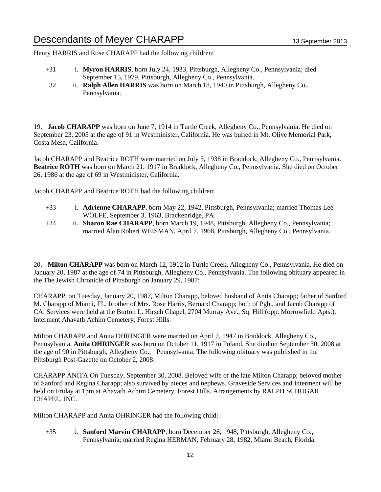Henry HARRIS and Rose CHARAPP had the following children:

- +31 i. **Myron HARRIS**, born July 24, 1933, Pittsburgh, Allegheny Co., Pennsylvania; died September 15, 1979, Pittsburgh, Allegheny Co., Pennsylvania.
	- 32 ii. **Ralph Allen HARRIS** was born on March 18, 1940 in Pittsburgh, Allegheny Co., Pennsylvania.

19. **Jacob CHARAPP** was born on June 7, 1914 in Turtle Creek, Allegheny Co., Pennsylvania. He died on September 23, 2005 at the age of 91 in Westminister, California. He was buried in Mt. Olive Memorial Park, Costa Mesa, California.

Jacob CHARAPP and Beatrice ROTH were married on July 5, 1938 in Braddock, Allegheny Co., Pennsylvania. **Beatrice ROTH** was born on March 21, 1917 in Braddock, Allegheny Co., Pennsylvania. She died on October 26, 1986 at the age of 69 in Westminister, California.

Jacob CHARAPP and Beatrice ROTH had the following children:

- +33 i. **Adrienne CHARAPP**, born May 22, 1942, Pittsburgh, Pennsylvania; married Thomas Lee WOLFE, September 3, 1963, Brackenridge, PA.
- +34 ii. **Sharon Rae CHARAPP**, born March 19, 1948, Pittsburgh, Allegheny Co., Pennsylvania; married Alan Robert WEISMAN, April 7, 1968, Pittsburgh, Allegheny Co., Pennsylvania.

20. **Milton CHARAPP** was born on March 12, 1912 in Turtle Creek, Allegheny Co., Pennsylvania. He died on January 20, 1987 at the age of 74 in Pittsburgh, Allegheny Co., Pennsylvania. The following obituary appeared in the The Jewish Chronicle of Pittsburgh on January 29, 1987:

CHARAPP, on Tuesday, January 20, 1987, Milton Charapp, beloved husband of Anita Charapp; father of Sanford M. Charapp of Miami, FL; brother of Mrs. Rose Harris, Bernard Charapp; both of Pgh., and Jacob Charapp of CA. Services were held at the Burton L. Hirsch Chapel, 2704 Murray Ave., Sq. Hill (opp. Morrowfield Apts.). Interment Ahavath Achim Cemetery, Forest Hills.

Milton CHARAPP and Anita OHRINGER were married on April 7, 1947 in Braddock, Allegheny Co., Pennsylvania. **Anita OHRINGER** was born on October 11, 1917 in Poland. She died on September 30, 2008 at the age of 90 in Pittsburgh, Allegheny Co., Pennsylvania. The following obituary was published in the Pittsburgh Post-Gazette on October 2, 2008:

CHARAPP ANITA On Tuesday, September 30, 2008. Beloved wife of the late Milton Charapp; beloved mother of Sanford and Regina Charapp; also survived by nieces and nephews. Graveside Services and Interment will be held on Friday at 1pm at Ahavath Achim Cemetery, Forest Hills. Arrangements by RALPH SCHUGAR CHAPEL, INC.

Milton CHARAPP and Anita OHRINGER had the following child:

+35 i. **Sanford Marvin CHARAPP**, born December 26, 1948, Pittsburgh, Allegheny Co., Pennsylvania; married Regina HERMAN, February 28, 1982, Miami Beach, Florida.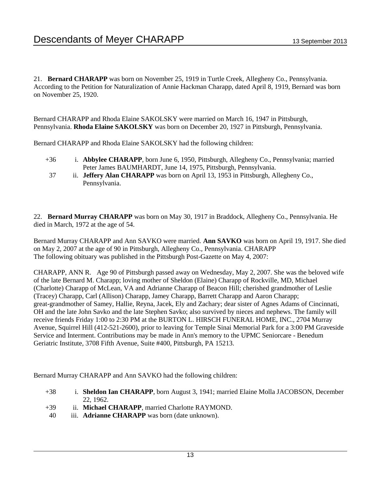21. **Bernard CHARAPP** was born on November 25, 1919 in Turtle Creek, Allegheny Co., Pennsylvania. According to the Petition for Naturalization of Annie Hackman Charapp, dated April 8, 1919, Bernard was born on November 25, 1920.

Bernard CHARAPP and Rhoda Elaine SAKOLSKY were married on March 16, 1947 in Pittsburgh, Pennsylvania. **Rhoda Elaine SAKOLSKY** was born on December 20, 1927 in Pittsburgh, Pennsylvania.

Bernard CHARAPP and Rhoda Elaine SAKOLSKY had the following children:

- +36 i. **Abbylee CHARAPP**, born June 6, 1950, Pittsburgh, Allegheny Co., Pennsylvania; married Peter James BAUMHARDT, June 14, 1975, Pittsburgh, Pennsylvania.
- 37 ii. **Jeffery Alan CHARAPP** was born on April 13, 1953 in Pittsburgh, Allegheny Co., Pennsylvania.

22. **Bernard Murray CHARAPP** was born on May 30, 1917 in Braddock, Allegheny Co., Pennsylvania. He died in March, 1972 at the age of 54.

Bernard Murray CHARAPP and Ann SAVKO were married. **Ann SAVKO** was born on April 19, 1917. She died on May 2, 2007 at the age of 90 in Pittsburgh, Allegheny Co., Pennsylvania. CHARAPP The following obituary was published in the Pittsburgh Post-Gazette on May 4, 2007:

CHARAPP, ANN R. Age 90 of Pittsburgh passed away on Wednesday, May 2, 2007. She was the beloved wife of the late Bernard M. Charapp; loving mother of Sheldon (Elaine) Charapp of Rockville, MD, Michael (Charlotte) Charapp of McLean, VA and Adrianne Charapp of Beacon Hill; cherished grandmother of Leslie (Tracey) Charapp, Carl (Allison) Charapp, Jamey Charapp, Barrett Charapp and Aaron Charapp; great-grandmother of Samey, Hallie, Reyna, Jacek, Ely and Zachary; dear sister of Agnes Adams of Cincinnati, OH and the late John Savko and the late Stephen Savko; also survived by nieces and nephews. The family will receive friends Friday 1:00 to 2:30 PM at the BURTON L. HIRSCH FUNERAL HOME, INC., 2704 Murray Avenue, Squirrel Hill (412-521-2600), prior to leaving for Temple Sinai Memorial Park for a 3:00 PM Graveside Service and Interment. Contributions may be made in Ann's memory to the UPMC Seniorcare - Benedum Geriatric Institute, 3708 Fifth Avenue, Suite #400, Pittsburgh, PA 15213.

Bernard Murray CHARAPP and Ann SAVKO had the following children:

- +38 i. **Sheldon Ian CHARAPP**, born August 3, 1941; married Elaine Molla JACOBSON, December 22, 1962.
- +39 ii. **Michael CHARAPP**, married Charlotte RAYMOND.
- 40 iii. **Adrianne CHARAPP** was born (date unknown).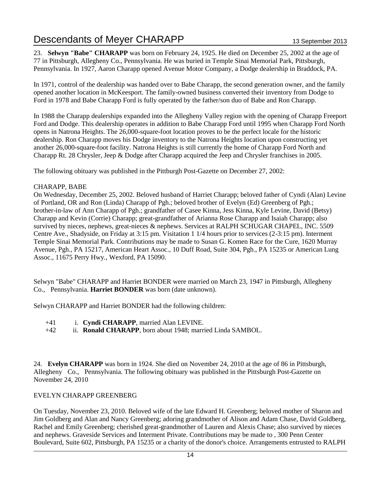23. **Selwyn "Babe" CHARAPP** was born on February 24, 1925. He died on December 25, 2002 at the age of 77 in Pittsburgh, Allegheny Co., Pennsylvania. He was buried in Temple Sinai Memorial Park, Pittsburgh, Pennsylvania. In 1927, Aaron Charapp opened Avenue Motor Company, a Dodge dealership in Braddock, PA.

In 1971, control of the dealership was handed over to Babe Charapp, the second generation owner, and the family opened another location in McKeesport. The family-owned business converted their inventory from Dodge to Ford in 1978 and Babe Charapp Ford is fully operated by the father/son duo of Babe and Ron Charapp.

In 1988 the Charapp dealerships expanded into the Allegheny Valley region with the opening of Charapp Freeport Ford and Dodge. This dealership operates in addition to Babe Charapp Ford until 1995 when Charapp Ford North opens in Natrona Heights. The 26,000-square-foot location proves to be the perfect locale for the historic dealership. Ron Charapp moves his Dodge inventory to the Natrona Heights location upon constructing yet another 26,000-square-foot facility. Natrona Heights is still currently the home of Charapp Ford North and Charapp Rt. 28 Chrysler, Jeep & Dodge after Charapp acquired the Jeep and Chrysler franchises in 2005.

The following obituary was published in the Pittburgh Post-Gazette on December 27, 2002:

### CHARAPP, BABE

On Wednesday, December 25, 2002. Beloved husband of Harriet Charapp; beloved father of Cyndi (Alan) Levine of Portland, OR and Ron (Linda) Charapp of Pgh.; beloved brother of Evelyn (Ed) Greenberg of Pgh.; brother-in-law of Ann Charapp of Pgh.; grandfather of Casee Kinna, Jess Kinna, Kyle Levine, David (Betsy) Charapp and Kevin (Corrie) Charapp; great-grandfather of Arianna Rose Charapp and Isaiah Charapp; also survived by nieces, nephews, great-nieces & nephews. Services at RALPH SCHUGAR CHAPEL, INC. 5509 Centre Ave., Shadyside, on Friday at 3:15 pm. Visitation 1 1/4 hours prior to services (2-3:15 pm). Interment Temple Sinai Memorial Park. Contributions may be made to Susan G. Komen Race for the Cure, 1620 Murray Avenue, Pgh., PA 15217, American Heart Assoc., 10 Duff Road, Suite 304, Pgh., PA 15235 or American Lung Assoc., 11675 Perry Hwy., Wexford, PA 15090.

Selwyn "Babe" CHARAPP and Harriet BONDER were married on March 23, 1947 in Pittsburgh, Allegheny Co., Pennsylvania. **Harriet BONDER** was born (date unknown).

Selwyn CHARAPP and Harriet BONDER had the following children:

- +41 i. **Cyndi CHARAPP**, married Alan LEVINE.
- +42 ii. **Ronald CHARAPP**, born about 1948; married Linda SAMBOL.

24. **Evelyn CHARAPP** was born in 1924. She died on November 24, 2010 at the age of 86 in Pittsburgh, Allegheny Co., Pennsylvania. The following obituary was published in the Pittsburgh Post-Gazette on November 24, 2010

### EVELYN CHARAPP GREENBERG

On Tuesday, November 23, 2010. Beloved wife of the late Edward H. Greenberg; beloved mother of Sharon and Jim Goldberg and Alan and Nancy Greenberg; adoring grandmother of Alison and Adam Chase, David Goldberg, Rachel and Emily Greenberg; cherished great-grandmother of Lauren and Alexis Chase; also survived by nieces and nephews. Graveside Services and Interment Private. Contributions may be made to , 300 Penn Center Boulevard, Suite 602, Pittsburgh, PA 15235 or a charity of the donor's choice. Arrangements entrusted to RALPH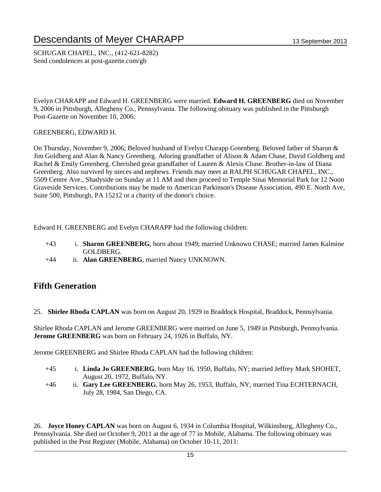SCHUGAR CHAPEL, INC., (412-621-8282) Send condolences at post-gazette.com/gb

Evelyn CHARAPP and Edward H. GREENBERG were married. **Edward H. GREENBERG** died on November 9, 2006 in Pittsburgh, Allegheny Co., Pennsylvania. The following obituary was published in the Pittsburgh Post-Gazette on November 10, 2006:

### GREENBERG, EDWARD H.

On Thursday, November 9, 2006; Beloved husband of Evelyn Charapp Greenberg. Beloved father of Sharon & Jim Goldberg and Alan & Nancy Greenberg. Adoring grandfather of Alison & Adam Chase, David Goldberg and Rachel & Emily Greenberg. Cherished great grandfather of Lauren & Alexis Chase. Brother-in-law of Diana Greenberg. Also survived by nieces and nephews. Friends may meet at RALPH SCHUGAR CHAPEL, INC., 5509 Centre Ave., Shadyside on Sunday at 11 AM and then proceed to Temple Sinai Memorial Park for 12 Noon Graveside Services. Contributions may be made to American Parkinson's Disease Association, 490 E. North Ave, Suite 500, Pittsburgh, PA 15212 or a charity of the donor's choice.

Edward H. GREENBERG and Evelyn CHARAPP had the following children:

- +43 i. **Sharon GREENBERG**, born about 1949; married Unknown CHASE; married James Kalmine GOLDBERG.
- +44 ii. **Alan GREENBERG**, married Nancy UNKNOWN.

### **Fifth Generation**

25. **Shirlee Rhoda CAPLAN** was born on August 20, 1929 in Braddock Hospital, Braddock, Pennsylvania.

Shirlee Rhoda CAPLAN and Jerome GREENBERG were married on June 5, 1949 in Pittsburgh, Pennsylvania. **Jerome GREENBERG** was born on February 24, 1926 in Buffalo, NY.

Jerome GREENBERG and Shirlee Rhoda CAPLAN had the following children:

- +45 i. **Linda Jo GREENBERG**, born May 16, 1950, Buffalo, NY; married Jeffrey Mark SHOHET, August 20, 1972, Buffalo, NY.
- +46 ii. **Gary Lee GREENBERG**, born May 26, 1953, Buffalo, NY; married Tina ECHTERNACH, July 28, 1984, San Diego, CA.

26. **Joyce Honey CAPLAN** was born on August 6, 1934 in Columbia Hospital, Wilkinsburg, Allegheny Co., Pennsylvania. She died on October 9, 2011 at the age of 77 in Mobile, Alabama. The following obituary was published in the Post Register (Mobile, Alabama) on October 10-11, 2011: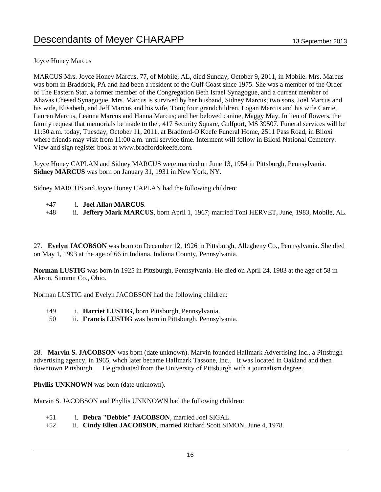Joyce Honey Marcus

MARCUS Mrs. Joyce Honey Marcus, 77, of Mobile, AL, died Sunday, October 9, 2011, in Mobile. Mrs. Marcus was born in Braddock, PA and had been a resident of the Gulf Coast since 1975. She was a member of the Order of The Eastern Star, a former member of the Congregation Beth Israel Synagogue, and a current member of Ahavas Chesed Synagogue. Mrs. Marcus is survived by her husband, Sidney Marcus; two sons, Joel Marcus and his wife, Elisabeth, and Jeff Marcus and his wife, Toni; four grandchildren, Logan Marcus and his wife Carrie, Lauren Marcus, Leanna Marcus and Hanna Marcus; and her beloved canine, Maggy May. In lieu of flowers, the family request that memorials be made to the , 417 Security Square, Gulfport, MS 39507. Funeral services will be 11:30 a.m. today, Tuesday, October 11, 2011, at Bradford-O'Keefe Funeral Home, 2511 Pass Road, in Biloxi where friends may visit from 11:00 a.m. until service time. Interment will follow in Biloxi National Cemetery. View and sign register book at www.bradfordokeefe.com.

Joyce Honey CAPLAN and Sidney MARCUS were married on June 13, 1954 in Pittsburgh, Pennsylvania. **Sidney MARCUS** was born on January 31, 1931 in New York, NY.

Sidney MARCUS and Joyce Honey CAPLAN had the following children:

- +47 i. **Joel Allan MARCUS**.
- +48 ii. **Jeffery Mark MARCUS**, born April 1, 1967; married Toni HERVET, June, 1983, Mobile, AL.

27. **Evelyn JACOBSON** was born on December 12, 1926 in Pittsburgh, Allegheny Co., Pennsylvania. She died on May 1, 1993 at the age of 66 in Indiana, Indiana County, Pennsylvania.

**Norman LUSTIG** was born in 1925 in Pittsburgh, Pennsylvania. He died on April 24, 1983 at the age of 58 in Akron, Summit Co., Ohio.

Norman LUSTIG and Evelyn JACOBSON had the following children:

- +49 i. **Harriet LUSTIG**, born Pittsburgh, Pennsylvania.
- 50 ii. **Francis LUSTIG** was born in Pittsburgh, Pennsylvania.

28. **Marvin S. JACOBSON** was born (date unknown). Marvin founded Hallmark Advertising Inc., a Pittsbugh advertising agency, in 1965, whch later became Hallmark Tassone, Inc.. It was located in Oakland and then downtown Pittsburgh. He graduated from the University of Pittsburgh with a journalism degree.

**Phyllis UNKNOWN** was born (date unknown).

Marvin S. JACOBSON and Phyllis UNKNOWN had the following children:

- +51 i. **Debra "Debbie" JACOBSON**, married Joel SIGAL.
- +52 ii. **Cindy Ellen JACOBSON**, married Richard Scott SIMON, June 4, 1978.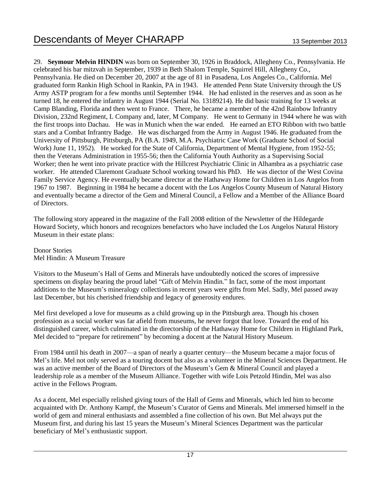29. **Seymour Melvin HINDIN** was born on September 30, 1926 in Braddock, Allegheny Co., Pennsylvania. He celebrated his bar mitzvah in September, 1939 in Beth Shalom Temple, Squirrel Hill, Allegheny Co., Pennsylvania. He died on December 20, 2007 at the age of 81 in Pasadena, Los Angeles Co., California. Mel graduated form Rankin High School in Rankin, PA in 1943. He attended Penn State University through the US Army ASTP program for a few months until September 1944. He had enlisted in the reserves and as soon as he turned 18, he entered the infantry in August 1944 (Serial No. 13189214). He did basic training for 13 weeks at Camp Blanding, Florida and then went to France. There, he became a member of the 42nd Rainbow Infrantry Division, 232nd Regiment, L Company and, later, M Company. He went to Germany in 1944 where he was with the first troops into Dachau. He was in Munich when the war ended. He earned an ETO Ribbon with two battle stars and a Combat Infrantry Badge. He was discharged from the Army in August 1946. He graduated from the University of Pittsburgh, Pittsburgh, PA (B.A. 1949, M.A. Psychiatric Case Work (Graduate School of Social Work) June 11, 1952). He worked for the State of California, Department of Mental Hygiene, from 1952-55; then the Veterans Administration in 1955-56; then the California Youth Authority as a Supervising Social Worker; then he went into private practice with the Hillcrest Psychiatric Clinic in Alhambra as a psychiatric case worker. He attended Claremont Graduate School working toward his PhD. He was diector of the West Covina Family Service Agency. He eventually became director at the Hathaway Home for Children in Los Angelos from 1967 to 1987. Beginning in 1984 he became a docent with the Los Angelos County Museum of Natural History and eventually became a director of the Gem and Mineral Council, a Fellow and a Member of the Alliance Board of Directors.

The following story appeared in the magazine of the Fall 2008 edition of the Newsletter of the Hildegarde Howard Society, which honors and recognizes benefactors who have included the Los Angelos Natural History Museum in their estate plans:

Donor Stories Mel Hindin: A Museum Treasure

Visitors to the Museum's Hall of Gems and Minerals have undoubtedly noticed the scores of impressive specimens on display bearing the proud label "Gift of Melvin Hindin." In fact, some of the most important additions to the Museum's mineralogy collections in recent years were gifts from Mel. Sadly, Mel passed away last December, but his cherished friendship and legacy of generosity endures.

Mel first developed a love for museums as a child growing up in the Pittsburgh area. Though his chosen profession as a social worker was far afield from museums, he never forgot that love. Toward the end of his distinguished career, which culminated in the directorship of the Hathaway Home for Children in Highland Park, Mel decided to "prepare for retirement" by becoming a docent at the Natural History Museum.

From 1984 until his death in 2007—a span of nearly a quarter century—the Museum became a major focus of Mel's life. Mel not only served as a touring docent but also as a volunteer in the Mineral Sciences Department. He was an active member of the Board of Directors of the Museum's Gem & Mineral Council and played a leadership role as a member of the Museum Alliance. Together with wife Lois Petzold Hindin, Mel was also active in the Fellows Program.

As a docent, Mel especially relished giving tours of the Hall of Gems and Minerals, which led him to become acquainted with Dr. Anthony Kampf, the Museum's Curator of Gems and Minerals. Mel immersed himself in the world of gem and mineral enthusiasts and assembled a fine collection of his own. But Mel always put the Museum first, and during his last 15 years the Museum's Mineral Sciences Department was the particular beneficiary of Mel's enthusiastic support.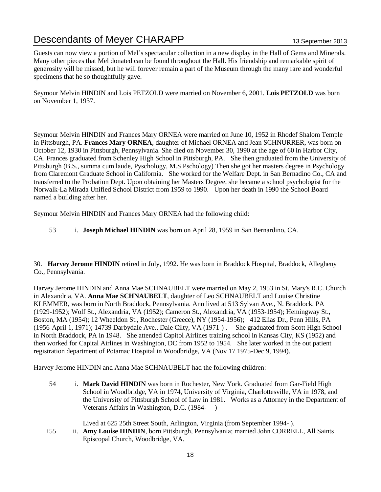Guests can now view a portion of Mel's spectacular collection in a new display in the Hall of Gems and Minerals. Many other pieces that Mel donated can be found throughout the Hall. His friendship and remarkable spirit of generosity will be missed, but he will forever remain a part of the Museum through the many rare and wonderful specimens that he so thoughtfully gave.

Seymour Melvin HINDIN and Lois PETZOLD were married on November 6, 2001. **Lois PETZOLD** was born on November 1, 1937.

Seymour Melvin HINDIN and Frances Mary ORNEA were married on June 10, 1952 in Rhodef Shalom Temple in Pittsburgh, PA. **Frances Mary ORNEA**, daughter of Michael ORNEA and Jean SCHNURRER, was born on October 12, 1930 in Pittsburgh, Pennsylvania. She died on November 30, 1990 at the age of 60 in Harbor City, CA. Frances graduated from Schenley High School in Pittsburgh, PA. She then graduated from the University of Pittsburgh (B.S., summa cum laude, Pyschology, M.S Pschology) Then she got her masters degree in Psychology from Claremont Graduate School in California. She worked for the Welfare Dept. in San Bernadino Co., CA and transferred to the Probation Dept. Upon obtaining her Masters Degree, she became a school psychologist for the Norwalk-La Mirada Unified School District from 1959 to 1990. Upon her death in 1990 the School Board named a building after her.

Seymour Melvin HINDIN and Frances Mary ORNEA had the following child:

53 i. **Joseph Michael HINDIN** was born on April 28, 1959 in San Bernardino, CA.

30. **Harvey Jerome HINDIN** retired in July, 1992. He was born in Braddock Hospital, Braddock, Allegheny Co., Pennsylvania.

Harvey Jerome HINDIN and Anna Mae SCHNAUBELT were married on May 2, 1953 in St. Mary's R.C. Church in Alexandria, VA. **Anna Mae SCHNAUBELT**, daughter of Leo SCHNAUBELT and Louise Christine KLEMMER, was born in North Braddock, Pennsylvania. Ann lived at 513 Sylvan Ave., N. Braddock, PA (1929-1952); Wolf St., Alexandria, VA (1952); Cameron St., Alexandria, VA (1953-1954); Hemingway St., Boston, MA (1954); 12 Wheeldon St., Rochester (Greece), NY (1954-1956); 412 Elias Dr., Penn Hills, PA (1956-April 1, 1971); 14739 Darbydale Ave., Dale Cilty, VA (1971-) . She graduated from Scott High School in North Braddock, PA in 1948. She attended Capitol Airlines training school in Kansas City, KS (1952) and then worked for Capital Airlines in Washington, DC from 1952 to 1954. She later worked in the out patient registration department of Potamac Hospital in Woodbridge, VA (Nov 17 1975-Dec 9, 1994).

Harvey Jerome HINDIN and Anna Mae SCHNAUBELT had the following children:

54 i. **Mark David HINDIN** was born in Rochester, New York. Graduated from Gar-Field High School in Woodbridge, VA in 1974, University of Virginia, Charlottesville, VA in 1978, and the University of Pittsburgh School of Law in 1981. Works as a Attorney in the Department of Veterans Affairs in Washington, D.C. (1984- )

Lived at 625 25th Street South, Arlington, Virginia (from September 1994- ).

+55 ii. **Amy Louise HINDIN**, born Pittsburgh, Pennsylvania; married John CORRELL, All Saints Episcopal Church, Woodbridge, VA.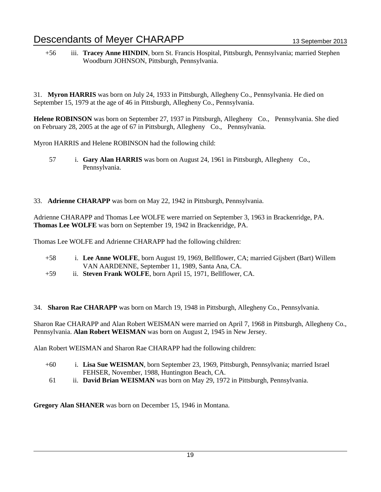+56 iii. **Tracey Anne HINDIN**, born St. Francis Hospital, Pittsburgh, Pennsylvania; married Stephen Woodburn JOHNSON, Pittsburgh, Pennsylvania.

31. **Myron HARRIS** was born on July 24, 1933 in Pittsburgh, Allegheny Co., Pennsylvania. He died on September 15, 1979 at the age of 46 in Pittsburgh, Allegheny Co., Pennsylvania.

**Helene ROBINSON** was born on September 27, 1937 in Pittsburgh, Allegheny Co., Pennsylvania. She died on February 28, 2005 at the age of 67 in Pittsburgh, Allegheny Co., Pennsylvania.

Myron HARRIS and Helene ROBINSON had the following child:

- 57 i. **Gary Alan HARRIS** was born on August 24, 1961 in Pittsburgh, Allegheny Co., Pennsylvania.
- 33. **Adrienne CHARAPP** was born on May 22, 1942 in Pittsburgh, Pennsylvania.

Adrienne CHARAPP and Thomas Lee WOLFE were married on September 3, 1963 in Brackenridge, PA. **Thomas Lee WOLFE** was born on September 19, 1942 in Brackenridge, PA.

Thomas Lee WOLFE and Adrienne CHARAPP had the following children:

- +58 i. **Lee Anne WOLFE**, born August 19, 1969, Bellflower, CA; married Gijsbert (Bart) Willem VAN AARDENNE, September 11, 1989, Santa Ana, CA.
- +59 ii. **Steven Frank WOLFE**, born April 15, 1971, Bellflower, CA.

34. **Sharon Rae CHARAPP** was born on March 19, 1948 in Pittsburgh, Allegheny Co., Pennsylvania.

Sharon Rae CHARAPP and Alan Robert WEISMAN were married on April 7, 1968 in Pittsburgh, Allegheny Co., Pennsylvania. **Alan Robert WEISMAN** was born on August 2, 1945 in New Jersey.

Alan Robert WEISMAN and Sharon Rae CHARAPP had the following children:

- +60 i. **Lisa Sue WEISMAN**, born September 23, 1969, Pittsburgh, Pennsylvania; married Israel FEHSER, November, 1988, Huntington Beach, CA.
- 61 ii. **David Brian WEISMAN** was born on May 29, 1972 in Pittsburgh, Pennsylvania.

**Gregory Alan SHANER** was born on December 15, 1946 in Montana.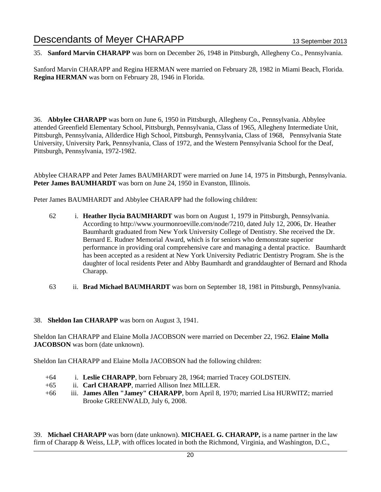35. **Sanford Marvin CHARAPP** was born on December 26, 1948 in Pittsburgh, Allegheny Co., Pennsylvania.

Sanford Marvin CHARAPP and Regina HERMAN were married on February 28, 1982 in Miami Beach, Florida. **Regina HERMAN** was born on February 28, 1946 in Florida.

36. **Abbylee CHARAPP** was born on June 6, 1950 in Pittsburgh, Allegheny Co., Pennsylvania. Abbylee attended Greenfield Elementary School, Pittsburgh, Pennsylvania, Class of 1965, Allegheny Intermediate Unit, Pittsburgh, Pennsylvania, Allderdice High School, Pittsburgh, Pennsylvania, Class of 1968, Pennsylvania State University, University Park, Pennsylvania, Class of 1972, and the Western Pennsylvania School for the Deaf, Pittsburgh, Pennsylvania, 1972-1982.

Abbylee CHARAPP and Peter James BAUMHARDT were married on June 14, 1975 in Pittsburgh, Pennsylvania. Peter James BAUMHARDT was born on June 24, 1950 in Evanston, Illinois.

Peter James BAUMHARDT and Abbylee CHARAPP had the following children:

- 62 i. **Heather Ilycia BAUMHARDT** was born on August 1, 1979 in Pittsburgh, Pennsylvania. According to http://www.yourmonroeville.com/node/7210, dated July 12, 2006, Dr. Heather Baumhardt graduated from New York University College of Dentistry. She received the Dr. Bernard E. Rudner Memorial Award, which is for seniors who demonstrate superior performance in providing oral comprehensive care and managing a dental practice. Baumhardt has been accepted as a resident at New York University Pediatric Dentistry Program. She is the daughter of local residents Peter and Abby Baumhardt and granddaughter of Bernard and Rhoda Charapp.
- 63 ii. **Brad Michael BAUMHARDT** was born on September 18, 1981 in Pittsburgh, Pennsylvania.

### 38. **Sheldon Ian CHARAPP** was born on August 3, 1941.

Sheldon Ian CHARAPP and Elaine Molla JACOBSON were married on December 22, 1962. **Elaine Molla JACOBSON** was born (date unknown).

Sheldon Ian CHARAPP and Elaine Molla JACOBSON had the following children:

- +64 i. **Leslie CHARAPP**, born February 28, 1964; married Tracey GOLDSTEIN.
- +65 ii. **Carl CHARAPP**, married Allison Inez MILLER.
- +66 iii. **James Allen "Jamey" CHARAPP**, born April 8, 1970; married Lisa HURWITZ; married Brooke GREENWALD, July 6, 2008.

39. **Michael CHARAPP** was born (date unknown). **MICHAEL G. CHARAPP,** is a name partner in the law firm of Charapp & Weiss, LLP, with offices located in both the Richmond, Virginia, and Washington, D.C.,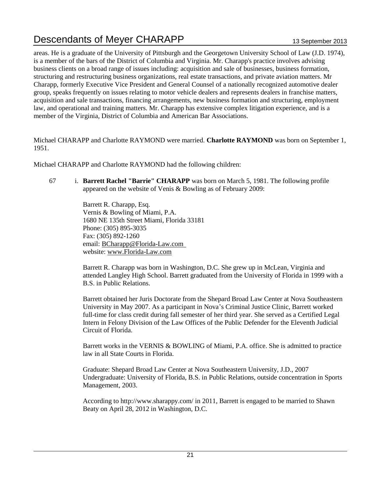areas. He is a graduate of the University of Pittsburgh and the Georgetown University School of Law (J.D. 1974), is a member of the bars of the District of Columbia and Virginia. Mr. Charapp's practice involves advising business clients on a broad range of issues including: acquisition and sale of businesses, business formation, structuring and restructuring business organizations, real estate transactions, and private aviation matters. Mr Charapp, formerly Executive Vice President and General Counsel of a nationally recognized automotive dealer group, speaks frequently on issues relating to motor vehicle dealers and represents dealers in franchise matters, acquisition and sale transactions, financing arrangements, new business formation and structuring, employment law, and operational and training matters. Mr. Charapp has extensive complex litigation experience, and is a member of the Virginia, District of Columbia and American Bar Associations.

Michael CHARAPP and Charlotte RAYMOND were married. **Charlotte RAYMOND** was born on September 1, 1951.

Michael CHARAPP and Charlotte RAYMOND had the following children:

67 i. **Barrett Rachel "Barrie" CHARAPP** was born on March 5, 1981. The following profile appeared on the website of Venis & Bowling as of February 2009:

> Barrett R. Charapp, Esq. Vernis & Bowling of Miami, P.A. 1680 NE 135th Street Miami, Florida 33181 Phone: (305) 895-3035 Fax: (305) 892-1260 email: BCharapp@Florida-Law.com website: www.Florida-Law.com

Barrett R. Charapp was born in Washington, D.C. She grew up in McLean, Virginia and attended Langley High School. Barrett graduated from the University of Florida in 1999 with a B.S. in Public Relations.

Barrett obtained her Juris Doctorate from the Shepard Broad Law Center at Nova Southeastern University in May 2007. As a participant in Nova's Criminal Justice Clinic, Barrett worked full-time for class credit during fall semester of her third year. She served as a Certified Legal Intern in Felony Division of the Law Offices of the Public Defender for the Eleventh Judicial Circuit of Florida.

Barrett works in the VERNIS & BOWLING of Miami, P.A. office. She is admitted to practice law in all State Courts in Florida.

Graduate: Shepard Broad Law Center at Nova Southeastern University, J.D., 2007 Undergraduate: University of Florida, B.S. in Public Relations, outside concentration in Sports Management, 2003.

According to http://www.sharappy.com/ in 2011, Barrett is engaged to be married to Shawn Beaty on April 28, 2012 in Washington, D.C.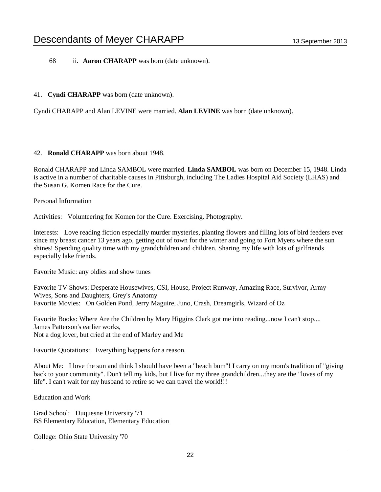68 ii. **Aaron CHARAPP** was born (date unknown).

#### 41. **Cyndi CHARAPP** was born (date unknown).

Cyndi CHARAPP and Alan LEVINE were married. **Alan LEVINE** was born (date unknown).

### 42. **Ronald CHARAPP** was born about 1948.

Ronald CHARAPP and Linda SAMBOL were married. **Linda SAMBOL** was born on December 15, 1948. Linda is active in a number of charitable causes in Pittsburgh, including The Ladies Hospital Aid Society (LHAS) and the Susan G. Komen Race for the Cure.

Personal Information

Activities: Volunteering for Komen for the Cure. Exercising. Photography.

Interests: Love reading fiction especially murder mysteries, planting flowers and filling lots of bird feeders ever since my breast cancer 13 years ago, getting out of town for the winter and going to Fort Myers where the sun shines! Spending quality time with my grandchildren and children. Sharing my life with lots of girlfriends especially lake friends.

Favorite Music: any oldies and show tunes

Favorite TV Shows: Desperate Housewives, CSI, House, Project Runway, Amazing Race, Survivor, Army Wives, Sons and Daughters, Grey's Anatomy Favorite Movies: On Golden Pond, Jerry Maguire, Juno, Crash, Dreamgirls, Wizard of Oz

Favorite Books: Where Are the Children by Mary Higgins Clark got me into reading...now I can't stop.... James Patterson's earlier works, Not a dog lover, but cried at the end of Marley and Me

Favorite Quotations: Everything happens for a reason.

About Me: I love the sun and think I should have been a "beach bum"! I carry on my mom's tradition of "giving back to your community". Don't tell my kids, but I live for my three grandchildren...they are the "loves of my life". I can't wait for my husband to retire so we can travel the world!!!

Education and Work

Grad School: Duquesne University '71 BS Elementary Education, Elementary Education

College: Ohio State University '70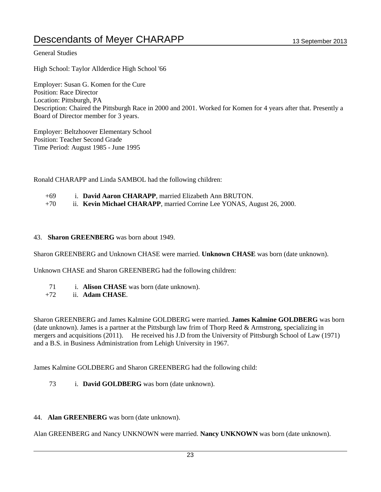### General Studies

High School: Taylor Allderdice High School '66

Employer: Susan G. Komen for the Cure Position: Race Director Location: Pittsburgh, PA Description: Chaired the Pittsburgh Race in 2000 and 2001. Worked for Komen for 4 years after that. Presently a Board of Director member for 3 years.

Employer: Beltzhoover Elementary School Position: Teacher Second Grade Time Period: August 1985 - June 1995

Ronald CHARAPP and Linda SAMBOL had the following children:

+69 i. **David Aaron CHARAPP**, married Elizabeth Ann BRUTON. +70 ii. **Kevin Michael CHARAPP**, married Corrine Lee YONAS, August 26, 2000.

#### 43. **Sharon GREENBERG** was born about 1949.

Sharon GREENBERG and Unknown CHASE were married. **Unknown CHASE** was born (date unknown).

Unknown CHASE and Sharon GREENBERG had the following children:

- 71 i. **Alison CHASE** was born (date unknown).
- +72 ii. **Adam CHASE**.

Sharon GREENBERG and James Kalmine GOLDBERG were married. **James Kalmine GOLDBERG** was born (date unknown). James is a partner at the Pittsburgh law frim of Thorp Reed & Armstrong, specializing in mergers and acquisitions (2011). He received his J.D from the University of Pittsburgh School of Law (1971) and a B.S. in Business Administration from Lehigh University in 1967.

James Kalmine GOLDBERG and Sharon GREENBERG had the following child:

- 73 i. **David GOLDBERG** was born (date unknown).
- 44. **Alan GREENBERG** was born (date unknown).

Alan GREENBERG and Nancy UNKNOWN were married. **Nancy UNKNOWN** was born (date unknown).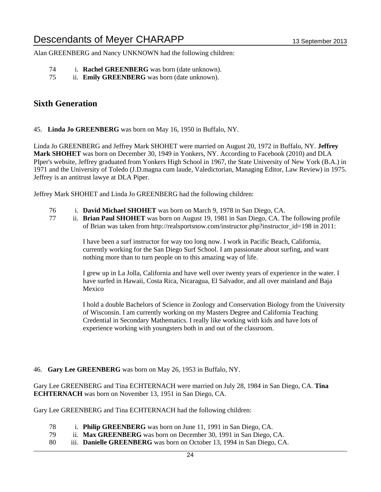Alan GREENBERG and Nancy UNKNOWN had the following children:

- 74 i. **Rachel GREENBERG** was born (date unknown).
- 75 ii. **Emily GREENBERG** was born (date unknown).

### **Sixth Generation**

45. **Linda Jo GREENBERG** was born on May 16, 1950 in Buffalo, NY.

Linda Jo GREENBERG and Jeffrey Mark SHOHET were married on August 20, 1972 in Buffalo, NY. **Jeffrey Mark SHOHET** was born on December 30, 1949 in Yonkers, NY. According to Facebook (2010) and DLA PIper's website, Jeffrey graduated from Yonkers High School in 1967, the State University of New York (B.A.) in 1971 and the University of Toledo (J.D.magna cum laude, Valedictorian, Managing Editor, Law Review) in 1975. Jeffrey is an antitrust lawye at DLA Piper.

Jeffrey Mark SHOHET and Linda Jo GREENBERG had the following children:

- 76 i. **David Michael SHOHET** was born on March 9, 1978 in San Diego, CA.
- 77 ii. **Brian Paul SHOHET** was born on August 19, 1981 in San Diego, CA. The following profile of Brian was taken from http://realsportsnow.com/instructor.php?instructor\_id=198 in 2011:

I have been a surf instructor for way too long now. I work in Pacific Beach, California, currently working for the San Diego Surf School. I am passionate about surfing, and want nothing more than to turn people on to this amazing way of life.

I grew up in La Jolla, California and have well over twenty years of experience in the water. I have surfed in Hawaii, Costa Rica, Nicaragua, El Salvador, and all over mainland and Baja Mexico

I hold a double Bachelors of Science in Zoology and Conservation Biology from the University of Wisconsin. I am currently working on my Masters Degree and California Teaching Credential in Secondary Mathematics. I really like working with kids and have lots of experience working with youngsters both in and out of the classroom.

### 46. **Gary Lee GREENBERG** was born on May 26, 1953 in Buffalo, NY.

Gary Lee GREENBERG and Tina ECHTERNACH were married on July 28, 1984 in San Diego, CA. **Tina ECHTERNACH** was born on November 13, 1951 in San Diego, CA.

Gary Lee GREENBERG and Tina ECHTERNACH had the following children:

- 78 i. **Philip GREENBERG** was born on June 11, 1991 in San Diego, CA.
- 79 ii. **Max GREENBERG** was born on December 30, 1991 in San Diego, CA.
- 80 iii. **Danielle GREENBERG** was born on October 13, 1994 in San Diego, CA.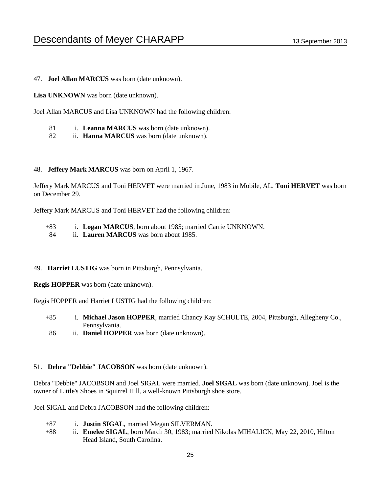47. **Joel Allan MARCUS** was born (date unknown).

**Lisa UNKNOWN** was born (date unknown).

Joel Allan MARCUS and Lisa UNKNOWN had the following children:

- 81 i. **Leanna MARCUS** was born (date unknown).
- 82 ii. **Hanna MARCUS** was born (date unknown).

### 48. **Jeffery Mark MARCUS** was born on April 1, 1967.

Jeffery Mark MARCUS and Toni HERVET were married in June, 1983 in Mobile, AL. **Toni HERVET** was born on December 29.

Jeffery Mark MARCUS and Toni HERVET had the following children:

- +83 i. **Logan MARCUS**, born about 1985; married Carrie UNKNOWN.
- 84 ii. **Lauren MARCUS** was born about 1985.

### 49. **Harriet LUSTIG** was born in Pittsburgh, Pennsylvania.

**Regis HOPPER** was born (date unknown).

Regis HOPPER and Harriet LUSTIG had the following children:

- +85 i. **Michael Jason HOPPER**, married Chancy Kay SCHULTE, 2004, Pittsburgh, Allegheny Co., Pennsylvania.
- 86 ii. **Daniel HOPPER** was born (date unknown).

#### 51. **Debra "Debbie" JACOBSON** was born (date unknown).

Debra "Debbie" JACOBSON and Joel SIGAL were married. **Joel SIGAL** was born (date unknown). Joel is the owner of Little's Shoes in Squirrel Hill, a well-known Pittsburgh shoe store.

Joel SIGAL and Debra JACOBSON had the following children:

- +87 i. **Justin SIGAL**, married Megan SILVERMAN. +88 ii. **Emelee SIGAL**, born March 30, 1983; married Nikolas MIHALICK, May 22, 2010, Hilton
	- Head Island, South Carolina.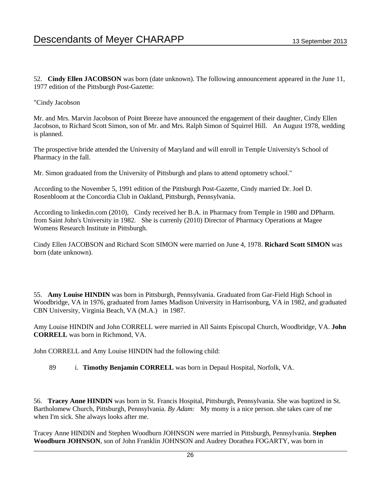52. **Cindy Ellen JACOBSON** was born (date unknown). The following announcement appeared in the June 11, 1977 edition of the Pittsburgh Post-Gazette:

### "Cindy Jacobson

Mr. and Mrs. Marvin Jacobson of Point Breeze have announced the engagement of their daughter, Cindy Ellen Jacobson, to Richard Scott Simon, son of Mr. and Mrs. Ralph Simon of Squirrel Hill. An August 1978, wedding is planned.

The prospective bride attended the University of Maryland and will enroll in Temple University's School of Pharmacy in the fall.

Mr. Simon graduated from the University of Pittsburgh and plans to attend optometry school."

According to the November 5, 1991 edition of the Pittsburgh Post-Gazette, Cindy married Dr. Joel D. Rosenbloom at the Concordia Club in Oakland, Pittsburgh, Pennsylvania.

According to linkedin.com (2010), Cindy received her B.A. in Pharmacy from Temple in 1980 and DPharm. from Saint John's University in 1982. She is currenly (2010) Director of Pharmacy Operations at Magee Womens Research Institute in Pittsburgh.

Cindy Ellen JACOBSON and Richard Scott SIMON were married on June 4, 1978. **Richard Scott SIMON** was born (date unknown).

55. **Amy Louise HINDIN** was born in Pittsburgh, Pennsylvania. Graduated from Gar-Field High School in Woodbridge, VA in 1976, graduated from James Madison University in Harrisonburg, VA in 1982, and graduated CBN University, Virginia Beach, VA (M.A.) in 1987.

Amy Louise HINDIN and John CORRELL were married in All Saints Episcopal Church, Woodbridge, VA. **John CORRELL** was born in Richmond, VA.

John CORRELL and Amy Louise HINDIN had the following child:

89 i. **Timothy Benjamin CORRELL** was born in Depaul Hospital, Norfolk, VA.

56. **Tracey Anne HINDIN** was born in St. Francis Hospital, Pittsburgh, Pennsylvania. She was baptized in St. Bartholomew Church, Pittsburgh, Pennsylvania. *By Adam:* My momy is a nice person. she takes care of me when I'm sick. She always looks after me.

Tracey Anne HINDIN and Stephen Woodburn JOHNSON were married in Pittsburgh, Pennsylvania. **Stephen Woodburn JOHNSON**, son of John Franklin JOHNSON and Audrey Dorathea FOGARTY, was born in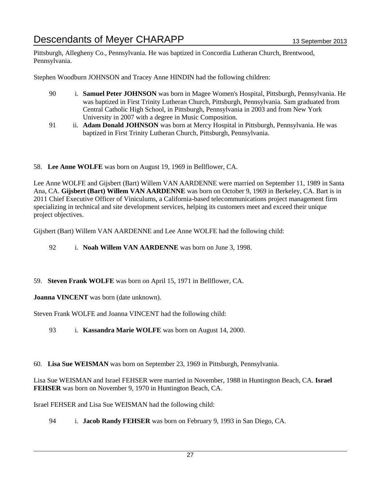Pittsburgh, Allegheny Co., Pennsylvania. He was baptized in Concordia Lutheran Church, Brentwood, Pennsylvania.

Stephen Woodburn JOHNSON and Tracey Anne HINDIN had the following children:

- 90 i. **Samuel Peter JOHNSON** was born in Magee Women's Hospital, Pittsburgh, Pennsylvania. He was baptized in First Trinity Lutheran Church, Pittsburgh, Pennsylvania. Sam graduated from Central Catholic High School, in Pittsburgh, Pennsylvania in 2003 and from New York University in 2007 with a degree in Music Composition.
- 91 ii. **Adam Donald JOHNSON** was born at Mercy Hospital in Pittsburgh, Pennsylvania. He was baptized in First Trinity Lutheran Church, Pittsburgh, Pennsylvania.

58. **Lee Anne WOLFE** was born on August 19, 1969 in Bellflower, CA.

Lee Anne WOLFE and Gijsbert (Bart) Willem VAN AARDENNE were married on September 11, 1989 in Santa Ana, CA. **Gijsbert (Bart) Willem VAN AARDENNE** was born on October 9, 1969 in Berkeley, CA. Bart is in 2011 Chief Executive Officer of Viniculums, a California-based telecommunications project management firm specializing in technical and site development services, helping its customers meet and exceed their unique project objectives.

Gijsbert (Bart) Willem VAN AARDENNE and Lee Anne WOLFE had the following child:

92 i. **Noah Willem VAN AARDENNE** was born on June 3, 1998.

59. **Steven Frank WOLFE** was born on April 15, 1971 in Bellflower, CA.

**Joanna VINCENT** was born (date unknown).

Steven Frank WOLFE and Joanna VINCENT had the following child:

93 i. **Kassandra Marie WOLFE** was born on August 14, 2000.

60. **Lisa Sue WEISMAN** was born on September 23, 1969 in Pittsburgh, Pennsylvania.

Lisa Sue WEISMAN and Israel FEHSER were married in November, 1988 in Huntington Beach, CA. **Israel FEHSER** was born on November 9, 1970 in Huntington Beach, CA.

Israel FEHSER and Lisa Sue WEISMAN had the following child:

94 i. **Jacob Randy FEHSER** was born on February 9, 1993 in San Diego, CA.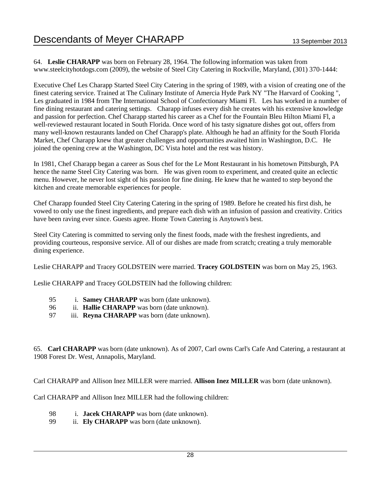64. **Leslie CHARAPP** was born on February 28, 1964. The following information was taken from www.steelcityhotdogs.com (2009), the website of Steel City Catering in Rockville, Maryland, (301) 370-1444:

Executive Chef Les Charapp Started Steel City Catering in the spring of 1989, with a vision of creating one of the finest catering service. Trained at The Culinary Institute of Amercia Hyde Park NY "The Harvard of Cooking ", Les graduated in 1984 from The International School of Confectionary Miami Fl. Les has worked in a number of fine dining restaurant and catering settings. Charapp infuses every dish he creates with his extensive knowledge and passion for perfection. Chef Charapp started his career as a Chef for the Fountain Bleu Hilton Miami Fl, a well-reviewed restaurant located in South Florida. Once word of his tasty signature dishes got out, offers from many well-known restaurants landed on Chef Charapp's plate. Although he had an affinity for the South Florida Market, Chef Charapp knew that greater challenges and opportunities awaited him in Washington, D.C. He joined the opening crew at the Washington, DC Vista hotel and the rest was history.

In 1981, Chef Charapp began a career as Sous chef for the Le Mont Restaurant in his hometown Pittsburgh, PA hence the name Steel City Catering was born. He was given room to experiment, and created quite an eclectic menu. However, he never lost sight of his passion for fine dining. He knew that he wanted to step beyond the kitchen and create memorable experiences for people.

Chef Charapp founded Steel City Catering Catering in the spring of 1989. Before he created his first dish, he vowed to only use the finest ingredients, and prepare each dish with an infusion of passion and creativity. Critics have been raving ever since. Guests agree. Home Town Catering is Anytown's best.

Steel City Catering is committed to serving only the finest foods, made with the freshest ingredients, and providing courteous, responsive service. All of our dishes are made from scratch; creating a truly memorable dining experience.

Leslie CHARAPP and Tracey GOLDSTEIN were married. **Tracey GOLDSTEIN** was born on May 25, 1963.

Leslie CHARAPP and Tracey GOLDSTEIN had the following children:

- 95 i. **Samey CHARAPP** was born (date unknown).
- 96 ii. **Hallie CHARAPP** was born (date unknown).
- 97 iii. **Reyna CHARAPP** was born (date unknown).

65. **Carl CHARAPP** was born (date unknown). As of 2007, Carl owns Carl's Cafe And Catering, a restaurant at 1908 Forest Dr. West, Annapolis, Maryland.

Carl CHARAPP and Allison Inez MILLER were married. **Allison Inez MILLER** was born (date unknown).

Carl CHARAPP and Allison Inez MILLER had the following children:

- 98 i. **Jacek CHARAPP** was born (date unknown).
- 99 ii. **Ely CHARAPP** was born (date unknown).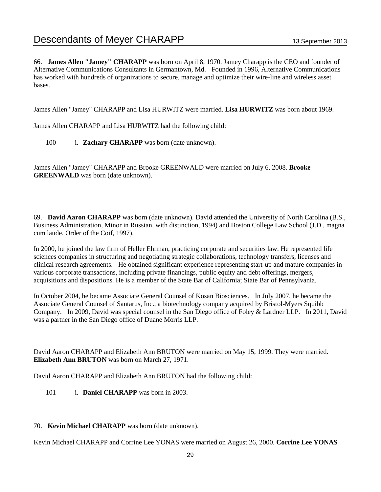66. **James Allen "Jamey" CHARAPP** was born on April 8, 1970. Jamey Charapp is the CEO and founder of Alternative Communications Consultants in Germantown, Md. Founded in 1996, Alternative Communications has worked with hundreds of organizations to secure, manage and optimize their wire-line and wireless asset bases.

James Allen "Jamey" CHARAPP and Lisa HURWITZ were married. **Lisa HURWITZ** was born about 1969.

James Allen CHARAPP and Lisa HURWITZ had the following child:

100 i. **Zachary CHARAPP** was born (date unknown).

James Allen "Jamey" CHARAPP and Brooke GREENWALD were married on July 6, 2008. **Brooke GREENWALD** was born (date unknown).

69. **David Aaron CHARAPP** was born (date unknown). David attended the University of North Carolina (B.S., Business Administration, Minor in Russian, with distinction, 1994) and Boston College Law School (J.D., magna cum laude, Order of the Coif, 1997).

In 2000, he joined the law firm of Heller Ehrman, practicing corporate and securities law. He represented life sciences companies in structuring and negotiating strategic collaborations, technology transfers, licenses and clinical research agreements. He obtained significant experience representing start-up and mature companies in various corporate transactions, including private financings, public equity and debt offerings, mergers, acquisitions and dispositions. He is a member of the State Bar of California; State Bar of Pennsylvania.

In October 2004, he became Associate General Counsel of Kosan Biosciences. In July 2007, he became the Associate General Counsel of Santarus, Inc., a biotechnology company acquired by Bristol-Myers Squibb Company. In 2009, David was special counsel in the San Diego office of Foley & Lardner LLP. In 2011, David was a partner in the San Diego office of Duane Morris LLP.

David Aaron CHARAPP and Elizabeth Ann BRUTON were married on May 15, 1999. They were married. **Elizabeth Ann BRUTON** was born on March 27, 1971.

David Aaron CHARAPP and Elizabeth Ann BRUTON had the following child:

101 i. **Daniel CHARAPP** was born in 2003.

#### 70. **Kevin Michael CHARAPP** was born (date unknown).

Kevin Michael CHARAPP and Corrine Lee YONAS were married on August 26, 2000. **Corrine Lee YONAS**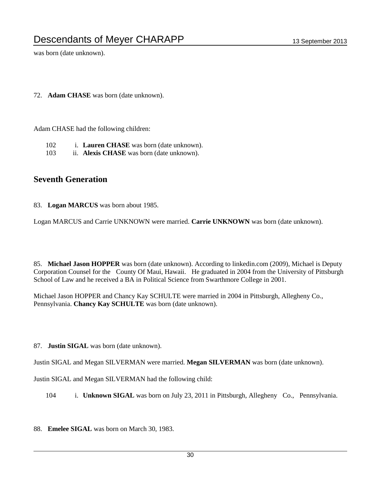was born (date unknown).

72. **Adam CHASE** was born (date unknown).

Adam CHASE had the following children:

- 102 i. **Lauren CHASE** was born (date unknown).
- 103 ii. **Alexis CHASE** was born (date unknown).

### **Seventh Generation**

83. **Logan MARCUS** was born about 1985.

Logan MARCUS and Carrie UNKNOWN were married. **Carrie UNKNOWN** was born (date unknown).

85. **Michael Jason HOPPER** was born (date unknown). According to linkedin.com (2009), Michael is Deputy Corporation Counsel for the County Of Maui, Hawaii. He graduated in 2004 from the University of Pittsburgh School of Law and he received a BA in Political Science from Swarthmore College in 2001.

Michael Jason HOPPER and Chancy Kay SCHULTE were married in 2004 in Pittsburgh, Allegheny Co., Pennsylvania. **Chancy Kay SCHULTE** was born (date unknown).

87. **Justin SIGAL** was born (date unknown).

Justin SIGAL and Megan SILVERMAN were married. **Megan SILVERMAN** was born (date unknown).

Justin SIGAL and Megan SILVERMAN had the following child:

104 i. **Unknown SIGAL** was born on July 23, 2011 in Pittsburgh, Allegheny Co., Pennsylvania.

88. **Emelee SIGAL** was born on March 30, 1983.